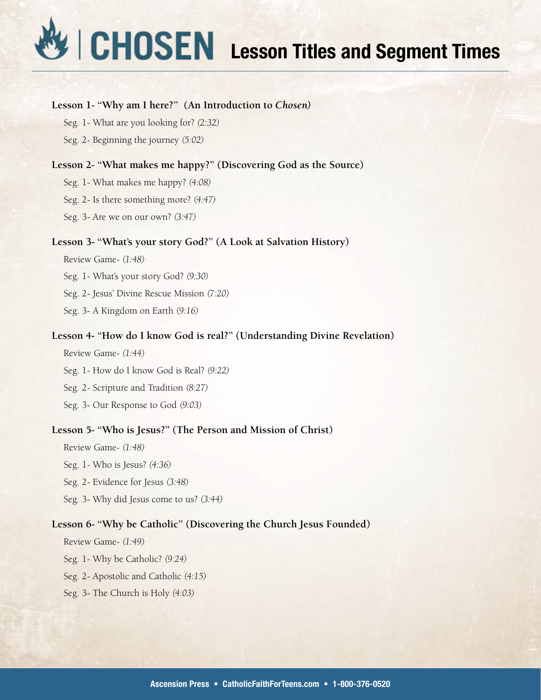# **Lesson Titles and Segment Times**

# **Lesson 1- "Why am I here?" (An Introduction to** *Chosen)*

Seg. 1- What are you looking for? *(2:32)*

Seg. 2- Beginning the journey *(5:02)*

# **Lesson 2- "What makes me happy?" (Discovering God as the Source)**

Seg. 1- What makes me happy? *(4:08)*

Seg. 2- Is there something more? *(4:47)*

Seg. 3- Are we on our own? *(3:47)*

## **Lesson 3- "What's your story God?" (A Look at Salvation History)**

Review Game- *(1:48)*

Seg. 1- What's your story God? *(9:30)*

Seg. 2- Jesus' Divine Rescue Mission *(7:20)*

Seg. 3- A Kingdom on Earth *(9:16)*

# **Lesson 4- "How do I know God is real?" (Understanding Divine Revelation)**

Review Game- *(1:44)*

Seg. 1- How do I know God is Real? *(9:22)*

Seg. 2- Scripture and Tradition *(8:27)*

Seg. 3- Our Response to God *(9:03)*

# **Lesson 5- "Who is Jesus?" (The Person and Mission of Christ)**

Review Game- *(1:48)* Seg. 1- Who is Jesus? *(4:36)* Seg. 2- Evidence for Jesus *(3:48)* Seg. 3- Why did Jesus come to us? *(3:44)*

# **Lesson 6- "Why be Catholic" (Discovering the Church Jesus Founded)**

Review Game- *(1:49)*

Seg. 1- Why be Catholic? *(9:24)*

Seg. 2- Apostolic and Catholic *(4:15)*

Seg. 3- The Church is Holy *(4:03)*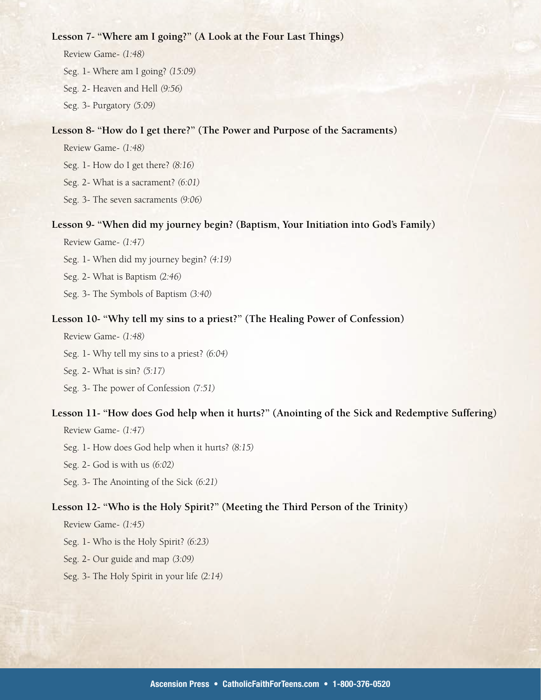### **Lesson 7- "Where am I going?" (A Look at the Four Last Things)**

Review Game- *(1:48)* Seg. 1- Where am I going? *(15:09)* Seg. 2- Heaven and Hell *(9:56)* Seg. 3- Purgatory *(5:09)*

# **Lesson 8- "How do I get there?" (The Power and Purpose of the Sacraments)**

Review Game- *(1:48)*

Seg. 1- How do I get there? *(8:16)*

Seg. 2- What is a sacrament? *(6:01)*

Seg. 3- The seven sacraments *(9:06)*

## **Lesson 9- "When did my journey begin? (Baptism, Your Initiation into God's Family)**

Review Game- *(1:47)*

Seg. 1- When did my journey begin? *(4:19)*

Seg. 2- What is Baptism *(2:46)*

Seg. 3- The Symbols of Baptism *(3:40)*

#### **Lesson 10- "Why tell my sins to a priest?" (The Healing Power of Confession)**

Review Game- *(1:48)*

Seg. 1- Why tell my sins to a priest? *(6:04)*

Seg. 2- What is sin? *(5:17)*

Seg. 3- The power of Confession *(7:51)*

## **Lesson 11- "How does God help when it hurts?" (Anointing of the Sick and Redemptive Suffering)**

Review Game- *(1:47)* Seg. 1- How does God help when it hurts? *(8:15)*

Seg. 2- God is with us *(6:02)*

Seg. 3- The Anointing of the Sick *(6:21)*

# **Lesson 12- "Who is the Holy Spirit?" (Meeting the Third Person of the Trinity)**

Review Game- *(1:45)*

Seg. 1- Who is the Holy Spirit? *(6:23)*

Seg. 2- Our guide and map *(3:09)*

Seg. 3- The Holy Spirit in your life *(2:14)*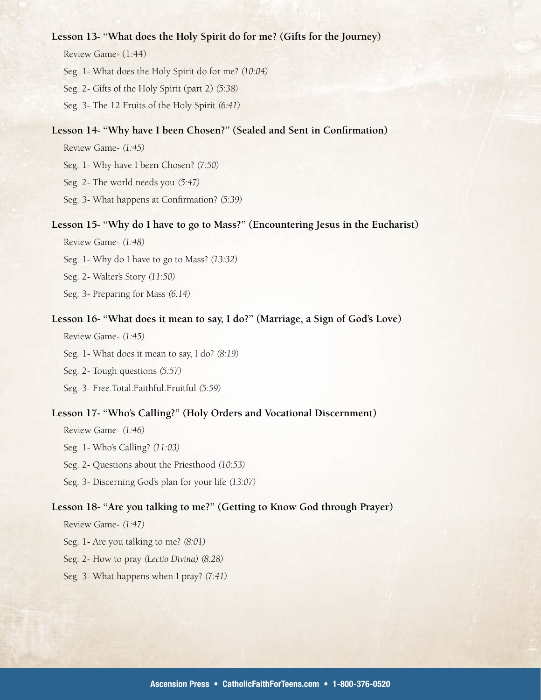## **Lesson 13- "What does the Holy Spirit do for me? (Gifts for the Journey)**

Review Game- (1:44)

Seg. 1- What does the Holy Spirit do for me? *(10:04)*

Seg. 2- Gifts of the Holy Spirit (part 2) *(5:38)*

Seg. 3- The 12 Fruits of the Holy Spirit *(6:41)*

## **Lesson 14- "Why have I been Chosen?" (Sealed and Sent in Confirmation)**

Review Game- *(1:45)*

Seg. 1- Why have I been Chosen? *(7:50)*

Seg. 2- The world needs you *(5:47)*

Seg. 3- What happens at Confirmation? *(5:39)*

## **Lesson 15- "Why do I have to go to Mass?" (Encountering Jesus in the Eucharist)**

Review Game- *(1:48)*

Seg. 1- Why do I have to go to Mass? *(13:32)*

Seg. 2- Walter's Story *(11:50)*

Seg. 3- Preparing for Mass *(6:14)*

#### **Lesson 16- "What does it mean to say, I do?" (Marriage, a Sign of God's Love)**

Review Game- *(1:45)*

Seg. 1- What does it mean to say, I do? *(8:19)*

Seg. 2- Tough questions *(5:57)*

Seg. 3- Free.Total.Faithful.Fruitful *(5:59)*

## **Lesson 17- "Who's Calling?" (Holy Orders and Vocational Discernment)**

Review Game- *(1:46)* Seg. 1- Who's Calling? *(11:03)*

Seg. 2- Questions about the Priesthood *(10:53)*

Seg. 3- Discerning God's plan for your life *(13:07)*

#### **Lesson 18- "Are you talking to me?" (Getting to Know God through Prayer)**

Review Game- *(1:47)*

Seg. 1- Are you talking to me? *(8:01)*

Seg. 2- How to pray *(Lectio Divina) (8:28)*

#### Seg. 3- What happens when I pray? *(7:41)*